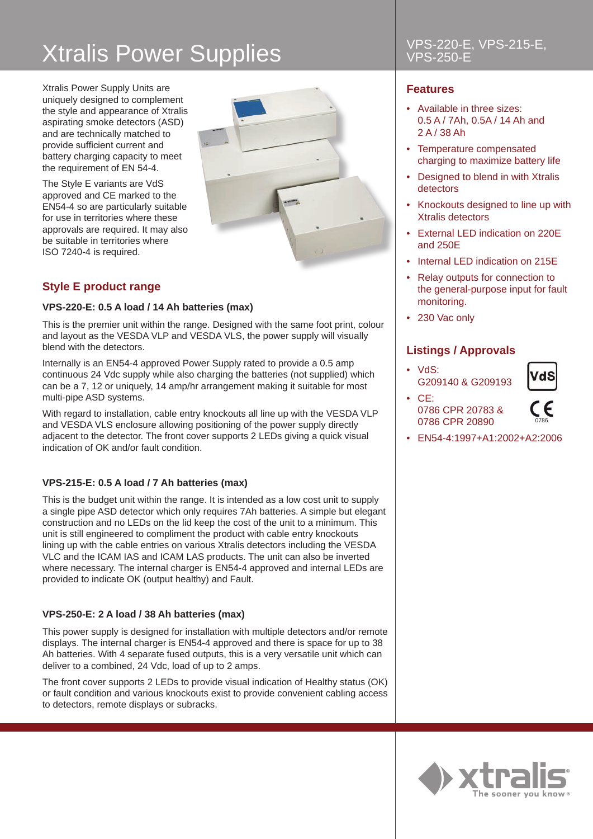# Xtralis Power Supplies VPS-220-E, VPS-215-E,

Xtralis Power Supply Units are uniquely designed to complement the style and appearance of Xtralis aspirating smoke detectors (ASD) and are technically matched to provide sufficient current and battery charging capacity to meet the requirement of EN 54-4.

The Style E variants are VdS approved and CE marked to the EN54-4 so are particularly suitable for use in territories where these approvals are required. It may also be suitable in territories where ISO 7240-4 is required.



## **Style E product range**

### **VPS-220-E: 0.5 A load / 14 Ah batteries (max)**

This is the premier unit within the range. Designed with the same foot print, colour and layout as the VESDA VLP and VESDA VLS, the power supply will visually blend with the detectors.

Internally is an EN54-4 approved Power Supply rated to provide a 0.5 amp continuous 24 Vdc supply while also charging the batteries (not supplied) which can be a 7, 12 or uniquely, 14 amp/hr arrangement making it suitable for most multi-pipe ASD systems.

With regard to installation, cable entry knockouts all line up with the VESDA VLP and VESDA VLS enclosure allowing positioning of the power supply directly adjacent to the detector. The front cover supports 2 LEDs giving a quick visual indication of OK and/or fault condition.

### **VPS-215-E: 0.5 A load / 7 Ah batteries (max)**

This is the budget unit within the range. It is intended as a low cost unit to supply a single pipe ASD detector which only requires 7Ah batteries. A simple but elegant construction and no LEDs on the lid keep the cost of the unit to a minimum. This unit is still engineered to compliment the product with cable entry knockouts lining up with the cable entries on various Xtralis detectors including the VESDA VLC and the ICAM IAS and ICAM LAS products. The unit can also be inverted where necessary. The internal charger is EN54-4 approved and internal LEDs are provided to indicate OK (output healthy) and Fault.

### **VPS-250-E: 2 A load / 38 Ah batteries (max)**

This power supply is designed for installation with multiple detectors and/or remote displays. The internal charger is EN54-4 approved and there is space for up to 38 Ah batteries. With 4 separate fused outputs, this is a very versatile unit which can deliver to a combined, 24 Vdc, load of up to 2 amps.

The front cover supports 2 LEDs to provide visual indication of Healthy status (OK) or fault condition and various knockouts exist to provide convenient cabling access to detectors, remote displays or subracks.

### **Features**

- Available in three sizes: 0.5 A / 7Ah, 0.5A / 14 Ah and 2 A / 38 Ah
- Temperature compensated charging to maximize battery life
- Designed to blend in with Xtralis detectors
- Knockouts designed to line up with Xtralis detectors
- External LED indication on 220E and 250E
- Internal LED indication on 215F
- Relay outputs for connection to the general-purpose input for fault monitoring.
- 230 Vac only

### **Listings / Approvals**

• VdS: G209140 & G209193



• CE: 0786 CPR 20783 & 0786 CPR 20890



- 
- EN54-4:1997+A1:2002+A2:2006